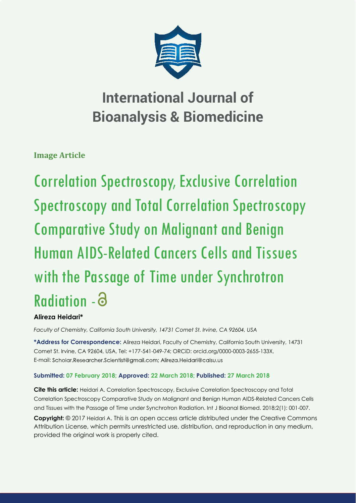

**Image Article**

Correlation Spectroscopy, Exclusive Correlation Spectroscopy and Total Correlation Spectroscopy Comparative Study on Malignant and Benign Human AIDS-Related Cancers Cells and Tissues with the Passage of Time under Synchrotron Radiation -

# **Alireza Heidari\***

*Faculty of Chemistry, California South University, 14731 Comet St. Irvine, CA 92604, USA* 

**\*Address for Correspondence:** Alireza Heidari, Faculty of Chemistry, California South University, 14731 Comet St. Irvine, CA 92604, USA, Tel: +177-541-049-74; ORCiD: orcid.org/0000-0003-2655-133X, E-mail: Scholar.Researcher.Scientist@gmail.com; Alireza.Heidari@calsu.us

# **Submitted: 07 February 2018; Approved: 22 March 2018; Published: 27 March 2018**

**Cite this article:** Heidari A. Correlation Spectroscopy, Exclusive Correlation Spectroscopy and Total Correlation Spectroscopy Comparative Study on Malignant and Benign Human AIDS-Related Cancers Cells and Tissues with the Passage of Time under Synchrotron Radiation. Int J Bioanal Biomed. 2018;2(1): 001-007.

**Copyright:** © 2017 Heidari A. This is an open access article distributed under the Creative Commons Attribution License, which permits unrestricted use, distribution, and reproduction in any medium, provided the original work is properly cited.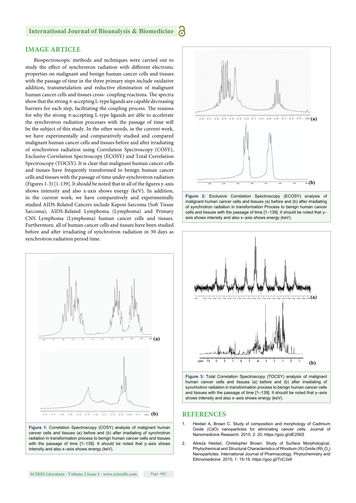# **IMAGE ARTICLE**

Biospectroscopic methods and techniques were carried out to study the effect of synchrotron radiation with different electronic properties on malignant and benign human cancer cells and tissues with the passage of time in the three primary steps include oxidative addition, transmetalation and reductive elimination of malignant human cancer cells and tissues cross- coupling reactions. The spectra show that the strong  $\pi$ -accepting L-type ligands are capable decreasing barriers for each step, facilitating the coupling process. The reasons for why the strong  $\pi$ -accepting L-type ligands are able to accelerate the synchrotron radiation processes with the passage of time will be the subject of this study. In the other words, in the current work, we have experimentally and comparatively studied and compared malignant human cancer cells and tissues before and after irradiating of synchrotron radiation using Correlation Spectroscopy (COSY), Exclusive Correlation Spectroscopy (ECOSY) and Total Correlation Spectroscopy (TOCSY). It is clear that malignant human cancer cells and tissues have frequently transformed to benign human cancer cells and tissues with the passage of time under synchrotron radiation (Figures 1-3)  $[1-139]$ . It should be noted that in all of the figures y-axis shows intensity and also x-axis shows energy (keV). In addition, in the current work, we have comparatively and experimentally studied AIDS-Related Cancers include Kaposi Sarcoma (Soft Tissue Sarcoma), AIDS-Related Lymphoma (Lymphoma) and Primary CNS Lymphoma (Lymphoma) human cancer cells and tissues. Furthermore, all of human cancer cells and tissues have been studied before and after irradiating of synchrotron radiation in 30 days as synchrotron radiation period time.











**Figure 3:** Total Correlation Spectroscopy (TOCSY) analysis of malignant human cancer cells and tissues (a) before and (b) after irradiating of synchrotron radiation in transformation process to benign human cancer cells and tissues with the passage of time [1–139]. It should be noted that y–axis shows intensity and also x–axis shows energy (keV).

#### **REFERENCES**

- Heidari A, Brown C. Study of composition and morphology of Cadmium Oxide (CdO) nanoparticles for eliminating cancer cells. Journal of Nanomedicine Research. 2015; 2: 20. https://goo.gl/dE256S
- 2. Alireza Heidari, Christopher Brown. Study of Surface Morphological, Phytochemical and Structural Characteristics of Rhodium (III) Oxide (Rh<sub>2</sub>O<sub>3</sub>) Nanoparticles. International Journal of Pharmacology, Phytochemistry and Ethnomedicine. 2015; 1: 15-19. https://goo.gl/TnC3x9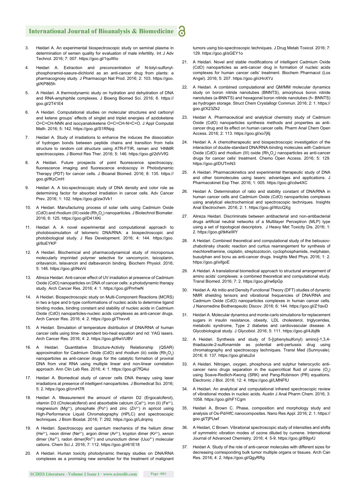- 3. Heidari A. An experimental biospectroscopic study on seminal plasma in determination of semen quality for evaluation of male infertility. Int J Adv Technol. 2016; 7: 007. https://goo.gl/1quWio
- 4. Heidari A. Extraction and preconcentration of N-tolyl-sulfonylphosphoramid-saeure-dichlorid as an anti-cancer drug from plants: a pharmacognosy study. J Pharmacogn Nat Prod. 2016; 2: 103. https://goo. gl/KP865h
- 5. A Heidari. A thermodynamic study on hydration and dehydration of DNA and RNA-amphiphile complexes. J Bioeng Biomed Sci. 2016; 6. https:// goo.gl/2T41E4
- 6. A Heidari. Computational studies on molecular structures and carbonyl and ketene groups' effects of singlet and triplet energies of azidoketene O=C=CH-NNN and isocyanatoketene O=C=CH-N=C=O. J Appl Computat Math. 2016; 5: 142. https://goo.gl/S1RNpg
- 7. Heidari A. Study of irradiations to enhance the induces the dissociation of hydrogen bonds between peptide chains and transition from helix structure to random coil structure using ATR-FTIR, raman and <sup>1</sup>HNMR spectroscopies. J Biomol Res Ther. 2016; 5: 146. https://goo.gl/2dVVfG
- 8. A Heidari. Future prospects of point fluorescence spectroscopy, fluorescence imaging and fluorescence endoscopy in Photodynamic Therapy (PDT) for cancer cells. J Bioanal Biomed. 2016; 8: 135. https:// goo.gl/fKzCmH
- 9. Heidari A. A bio-spectroscopic study of DNA density and color role as determining factor for absorbed irradiation in cancer cells. Adv Cancer Prev. 2016; 1: 102. https://goo.gl/zw3Vk1
- 10. A Heidari. Manufacturing process of solar cells using Cadmium Oxide (CdO) and rhodium (III) oxide  $(Rh_2O_3)$  nanoparticles. J Biotechnol Biomater. 2016; 6: 125. https://goo.gl/D41XKi
- Heidari A. A novel experimental and computational approach to photobiosimulation of telomeric DNA/RNA: a biospectroscopic and photobiological study. J Res Development. 2016; 4: 144. https://goo. gl/8oEYKP
- 12. A Heidari. Biochemical and pharmacodynamical study of microporous molecularly imprinted polymer selective for vancomycin, teicoplanin, oritavancin, telavancin and dalbavancin binding. Biochem Physiol. 2016; 5: 146. https://goo.gl/iNxVii
- 13. Alireza Heidari. Anti-cancer effect of UV irradiation at presence of Cadmium Oxide (CdO) nanoparticles on DNA of cancer cells: a photodynamic therapy study. Arch Cancer Res. 2016; 4: 1. https://goo.gl/PnrhwN
- 14. A Heidari. Biospectroscopic study on Multi-Component Reactions (MCRS) in two a-type and b-type conformations of nucleic acids to determine ligand binding modes, binding constant and stability of nucleic acids in Cadmium Oxide (CdO) nanoparticles-nucleic acids complexes as anti-cancer drugs. Arch Cancer Res. 2016; 4: 2. https://goo.gl/Thxvv6
- 15. A Heidari. Simulation of temperature distribution of DNA/RNA of human cancer cells using time- dependent bio-heat equation and nd: YAG lasers. Arch Cancer Res. 2016; 4: 2. https://goo.gl/6wVUBV
- 16. A Heidari. Quantitative Structure-Activity Relationship (QSAR) approximation for Cadmium Oxide (CdO) and rhodium (iii) oxide  $(\mathsf{Rh}_{2}\mathsf{O}_{3})$ nanoparticles as anti-cancer drugs for the catalytic formation of proviral DNA from viral RNA using multiple linear and non-linear correlation approach. Ann Clin Lab Res. 2016; 4: 1. https://goo.gl/7fQ4ui
- 17. Heidari A. Biomedical study of cancer cells DNA therapy using laser irradiations at presence of intelligent nanoparticles. J Biomedical Sci. 2016; 5: 2. https://goo.gl/crvH7R
- 18. Heidari A. Measurement the amount of vitamin D2 (Ergocalciferol), vitamin D3 (Cholecalciferol) and absorbable calcium (Ca<sup>2+</sup>), iron (ii) (Fe<sup>2+</sup>), magnesium (Mg<sup>2+</sup>), phosphate (Po<sup>4-</sup>) and zinc (Zn<sup>2+</sup>) in apricot using High-Performance Liquid Chromatography (HPLC) and spectroscopic techniques. J Biom Biostat. 2016; 7: 292. https://goo.gl/Ldrqmq
- 19. A Heidari. Spectroscopy and quantum mechanics of the helium dimer (He<sup>2+</sup>), neon dimer (Ne<sup>2+</sup>), argon dimer (Ar<sup>2+</sup>), krypton dimer (Kr<sup>2+</sup>), xenon dimer (Xe<sup>2+</sup>), radon dimer(Rn<sup>2+</sup>) and ununoctium dimer (Uuo<sup>2+</sup>) molecular cations. Chem Sci J. 2016; 7: 112. https://goo.gl/r61E18
- 20. A Heidari. Human toxicity photodynamic therapy studies on DNA/RNA complexes as a promising new sensitizer for the treatment of malignant

tumors using bio-spectroscopic techniques. J Drug Metab Toxicol. 2016; 7: 129. https://goo.gl/sGEY1o

- 21. A Heidari. Novel and stable modifications of intelligent Cadmium Oxide (CdO) nanoparticles as anti-cancer drug in formation of nucleic acids complexes for human cancer cells' treatment. Biochem Pharmacol (Los Angel). 2016; 5: 207. https://goo.gl/cHnXYz
- 22. A Heidari. A combined computational and QM/MM molecular dynamics study on boron nitride nanotubes (BNNTS), amorphous boron nitride nanotubes (a-BNNTS) and hexagonal boron nitride nanotubes (h- BNNTS) as hydrogen storage. Struct Chem Crystallogr Commun. 2016; 2: 1. https:// goo.gl/X23Zk2
- 23. Heidari A. Pharmaceutical and analytical chemistry study of Cadmium Oxide (CdO) nanoparticles synthesis methods and properties as anticancer drug and its effect on human cancer cells. Pharm Anal Chem Open Access. 2016; 2: 113. https://goo.gl/xo7j6j
- Heidari A. A chemotherapeutic and biospectroscopic investigation of the interaction of double-standard DNA/RNA-binding molecules with Cadmium Oxide (CdO) and rhodium (III) oxide  $(Rh<sub>2</sub>O<sub>3</sub>)$  nanoparticles as anti-cancer drugs for cancer cells' treatment. Chemo Open Access. 2016; 5: 129. https://goo.gl/DUTmN3
- 25. A Heidari. Pharmacokinetics and experimental therapeutic study of DNA and other biomolecules using lasers: advantages and applications. J Pharmacokinet Exp Ther. 2016; 1: 005. https://goo.gl/cdw4XC
- 26. Heidari A. Determination of ratio and stability constant of DNA/RNA in human cancer cells and Cadmium Oxide (CdO) nanoparticles complexes using analytical electrochemical and spectroscopic techniques. Insights Anal Electrochem. 2016; 2: 1. https://goo.gl/WzcQXg
- 27. Alireza Heidari. Discriminate between antibacterial and non-antibacterial drugs artificial neutral networks of a Multilayer Perceptron (MLP) type using a set of topological descriptors. J Heavy Met Toxicity Dis. 2016; 1: 2. https://goo.gl/tkKeWY
- 28. A Heidari. Combined theoretical and computational study of the belousovzhabotinsky chaotic reaction and curtius rearrangement for synthesis of mechlorethamine, cisplatin, streptozotocin, cyclophosphamide, melphalan, busulphan and bcnu as anti-cancer drugs. Insights Med Phys. 2016; 1: 2. https://goo.gl/xifgoE
- 29. A Heidari. A translational biomedical approach to structural arrangement of amino acids' complexes: a combined theoretical and computational study. Transl Biomed. 2016; 7: 2. https://goo.gl/rw6pGp
- 30. Heidari A. Ab initio and Density Functional Theory (DFT) studies of dynamic NMR shielding tensors and vibrational frequencies of DNA/RNA and Cadmium Oxide (CdO) nanoparticles complexes in human cancer cells. J Nanomedine Biotherapeutic Discov. 2016; 6: 144. https://goo.gl/Z1tavD
- 31. Heidari A. Molecular dynamics and monte-carlo simulations for replacement sugars in insulin resistance, obesity, LDL cholesterol, triglycerides, metabolic syndrome, Type 2 diabetes and cardiovascular disease: A Glycobiological study. J Glycobiol. 2016; 5: 111. https://goo.gl/4Jbj8k
- 32. A Heidari. Synthesis and study of 5-[(phenylsulfonyl) amino]-1,3,4 thiadiazole-2-sulfonamide as potential anti-pertussis drug using chromatography and spectroscopy techniques. Transl Med (Sunnyvale). 2016; 6: 137. https://goo.gl/atu2oi
- 33. A Heidari. Nitrogen, oxygen, phosphorus and sulphur heterocyclic anticancer nano drugs separation in the supercritical fluid of ozone  $(O_3)$ using Soave-Redlich-Kwong (SRK) and Pang-Robinson (PR) equations. Electronic J Biol. 2016; 12: 4. https://goo.gl/LMNFfU
- 34. A Heidari. An analytical and computational infrared spectroscopic review of vibrational modes in nucleic acids. Austin J Anal Pharm Chem. 2016; 3: 1058. https://goo.gl/hF1Cgm
- 35. Heidari A, Brown C. Phase, composition and morphology study and analysis of Os-Pd/HfC nanocomposites. Nano Res Appl. 2016; 2: 1. https:// goo.gl/TjPUwf
- 36. A Heidari, C Brown. Vibrational spectroscopic study of intensities and shifts of symmetric vibration modes of ozone diluted by cumene. International Journal of Advanced Chemistry. 2016; 4: 5-9. https://goo.gl/89gvfJ
- 37. Heidari A. Study of the role of anti-cancer molecules with different sizes for decreasing corresponding bulk tumor multiple organs or tissues. Arch Can Res. 2016; 4: 2. https://goo.gl/QgyRRg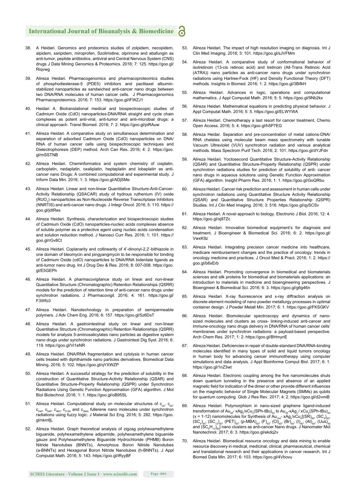- 38. A Heidari. Genomics and proteomics studies of zolpidem, necopidem, alpidem, saripidem, miroprofen, Szolimidine, olprinone and abafungin as anti-tumor, peptide antibiotics, antiviral and Central Nervous System (CNS) drugs J Data Mining Genomics & Proteomics. 2016; 7: 125. https://goo.gl/ Riqvwg
- 39. Alireza Heidari. Pharmacogenomics and pharmacoproteomics studies of phosphodiesterase-5 (PDE5) inhibitors and paclitaxel albuminstabilized nanoparticles as sandwiched anti-cancer nano drugs between two DNA/RNA molecules of human cancer cells. J Pharmacogenomics Pharmacoproteomics. 2016; 7: 153. https://goo.gl/iFWZJ1
- 40. Heidari A. Biotranslational medical and biospectroscopic studies of Cadmium Oxide (CdO) nanoparticles-DNA/RNA straight and cycle chain complexes as potent anti-viral, anti-tumor and anti-microbial drugs: a clinical approach. Transl Biomed. 2016; 7: 2. https://goo.gl/piRAuw
- 41. Alireza Heidari. A comparative study on simultaneous determination and separation of adsorbed Cadmium Oxide (CdO) nanoparticles on DNA/ RNA of human cancer cells using biospectroscopic techniques and Dielectrophoresis (DEP) method. Arch Can Res. 2016; 4: 2. https://goo. gl/mSSTNB
- 42. Alireza Heidari. Cheminformatics and system chemistry of cisplatin, carboplatin, nedaplatin, oxaliplatin, heptaplatin and lobaplatin as anticancer nano Drugs: A combined computational and experimental study. J Inform Data Min. 2016; 1: 3. https://goo.gl/ADjSMe
- 43. Alireza Heidari. Linear and non-linear Quantitative Structure-Anti-Cancer-Activity Relationship (QSACAR) study of hydrous ruthenium (IV) oxide (RUO<sub>2</sub>) nanoparticles as Non-Nucleoside Reverse Transcriptase Inhibitors (NNRTIS) and anti-cancer nano drugs. J Integr Oncol. 2016; 5: 110. https:// goo.gl/jdtRes
- 44. Alireza Heidari. Synthesis, characterization and biospectroscopic studies of Cadmium Oxide (CdO) nanoparticles-nucleic acids complexes absence of soluble polymer as a protective agent using nucleic acids condensation and solution reduction method. J Nanosci Curr Res. 2016; 1: 101. https:// goo.gl/rGv8Ct
- 45. Alireza Heidari. Coplanarity and collinearity of 4'-dinonyl-2,2'-bithiazole in one domain of bleomycin and pingyangmycin to be responsible for binding of Cadmium Oxide (cdO) nanoparticles to DNA/RNA bidentate ligands as anti-tumor nano drug. Int J Drug Dev & Res. 2016; 8: 007-008. https://goo. gl/E5GEPh
- 46. Alireza Heidari. A pharmacovigilance study on linear and non-linear Quantitative Structure (Chromatographic) Retention Relationships (QSRR) models for the prediction of retention time of anti-cancer nano drugs under synchrotron radiations. J Pharmacovigil. 2016; 4: 161. https://qoo.ql/ F3Wfo3
- 47. Alireza Heidari. Nanotechnology in preparation of semipermeable polymers. J Adv Chem Eng. 2016; 6: 157. https://goo.gl/5z6DsT
- 48. Alireza Heidari. A gastrointestinal study on linear and non-linear Quantitative Structure (Chromatographic) Retention Relationships (QSRR) models for analysis 5-aminosalicylates nano particles as digestive system nano drugs under synchrotron radiations. J Gastrointest Dig Syst. 2016; 6: 119. https://goo.gl/Vi1eNR
- 49. Alireza Heidari. DNA/RNA fragmentation and cytolysis in human cancer cells treated with diphthamide nano particles derivatives. Biomedical Data Mining. 2016; 5: 102. https://goo.gl/qYXWZP
- Alireza Heidari. A successful strategy for the prediction of solubility in the construction of Quantitative Structure-Activity Relationship (QSAR) and Quantitative Structure-Property Relationship (QSPR) under Synchrotron Radiations Using Genetic Function Approximation (GFA) algorithm. J Mol Biol Biotechnol. 2016; 1: 1. https://goo.gl/oB95SL
- Alireza Heidari. Computational study on molecular structures of  $c_{20}$ ,  $c_{60}$ , c<sub>240</sub>, c<sub>540</sub>, c<sub>960</sub>, c<sub>2160</sub> and c<sub>3840</sub> fullerene nano molecules under synchrotron<br>radiations using fuzzy logic. J Material Sci Eng. 2016; 5: 282. https://goo. gl/nkmfjL
- 52. Alireza Heidari. Graph theoretical analysis of zigzag polyhexamethylene biguanide, polyhexamethylene adipamide, polyhexamethylene biguanide gauze and Polyhexamethylene Biguanide Hydrochloride (PHMB) Boron Nitride Nanotubes (BNNTs), Amorphous Boron Nitride Nanotubes (a-BNNTs) and Hexagonal Boron Nitride Nanotubes (h-BNNTs). J Appl Computat Math. 2016; 5: 143. https://goo.gl/iRyyBF
- 53. Alireza Heidari. The impact of high resolution imaging on diagnosis. Int J Clin Med Imaging. 2016; 3: 101. https://goo.gl/sJVFMm
- 54. Alireza Heidari. A comparative study of conformational behavior of isotretinoin (13-cis retinoic acid) and tretinoin (All-Trans Retinoic Acid (ATRA)) nano particles as anti-cancer nano drugs under synchrotron radiations using Hartree-Fock (HF) and Density Functional Theory (DFT) methods. Insights in Biomed. 2016; 1: 2. https://goo.gl/3BifkH
- 55. Alireza Heidari. Advances in logic, operations and computational mathematics. J Appl Computat Math. 2016; 5: 5. https://goo.gl/9Nb2kx
- 56. Alireza Heidari. Mathematical equations in predicting physical behavior. J Appl Computat Math. 2016; 5: 5. https://goo.gl/ELWYWA
- 57. Alireza Heidari. Chemotherapy a last resort for cancer treatment. Chemo Open Access. 2016; 5: 4. https://goo.gl/h5P7EG
- 58. Alireza Heidar. Separation and pre-concentration of metal cations-DNA/ RNA chelates using molecular beam mass spectrometry with tunable Vacuum Ultraviolet (VUV) synchrotron radiation and various analytical methods. Mass Spectrom Purif Tech. 2016; 2: 101. https://goo.gl/dYJFdn
- Alireza Heidari. Yoctosecond Quantitative Structure-Activity Relationship (QSAR) and Quantitative Structure-Property Relationship (QSPR) under synchrotron radiations studies for prediction of solubility of anti- cancer nano drugs in aqueous solutions using Genetic Function Approximation (GFA) algorithm. Insight Pharm Res. 2016; 1: 1. https://goo.gl/GoQRbu
- Alireza Heidari. Cancer risk prediction and assessment in human cells under synchrotron radiations using Quantitative Structure Activity Relationship (QSAR) and Quantitative Structure Properties Relationship (QSPR) Studies. Int J Clin Med Imaging. 2016; 3: 516. https://goo.gl/qySCSv
- 61. Alireza Heidari. A novel approach to biology. Electronic J Biol. 2016; 12: 4. https://goo.gl/xj87Zc
- 62. Alireza Heidari. Innovative biomedical equipment's for diagnosis and treatment. J Bioengineer & Biomedical Sci. 2016; 6: 2. https://goo.gl/ VwxK9z
- 63. Alireza Heidari. Integrating precision cancer medicine into healthcare, medicare reimbursement changes and the practice of oncology: trends in oncology medicine and practices. J Oncol Med & Pract. 2016; 1: 2. https:// goo.gl/b6xErb
- 64. Alireza Heidari. Promoting convergence in biomedical and biomaterials sciences and silk proteins for biomedical and biomaterials applications: an introduction to materials in medicine and bioengineering perspectives. J Bioengineer & Biomedical Sci. 2016; 6: 3. https://goo.gl/g6g46n
- 65. Alireza Heidari. X-ray fluorescence and x-ray diffraction analysis on discrete element modeling of nano powder metallurgy processes in optimal container design. J Powder Metall Min. 2017; 6: 1. https://goo.gl/FKSGKV
- 66. Alireza Heidari. Biomolecular spectroscopy and dynamics of nanosized molecules and clusters as cross- linking-induced anti-cancer and immune-oncology nano drugs delivery in DNA/RNA of human cancer cells' membranes under synchrotron radiations: a payload-based perspective. Arch Chem Res. 2017; 1: 2. https://goo.gl/BHmynE
- 67. Alireza Heidari. Deficiencies in repair of double-standard DNA/RNA-binding molecules identified in many types of solid and liquid tumors oncology in human body for advancing cancer immunotherapy using computer simulations and data analysis. J Appl Bioinforma Comput Biol. 2017; 6: 1. https://goo.gl/1nZ3wt
- 68. Alireza Heidari. Electronic coupling among the five nanomolecules shuts down quantum tunneling in the presence and absence of an applied magnetic field for indication of the dimer or other provide different influences on the magnetic behavior of Single Molecular Magnets (SMMs) as qubits for quantum computing. Glob J Res Rev. 2017; 4: 2. https://goo.gl/d2vmiB
- 69. Alireza Heidari. Polymorphism in nano-sized graphene ligand-induced transformation of  $Au_{38}$ - xAg<sub>x</sub>/xCu<sub>x</sub>(SPh-tBu)<sub>24</sub> to Au<sub>36</sub>-xAg<sub>x</sub>/xCu<sub>x</sub>(SPh-tBu)<sub>24</sub> (x = 1-12) nanomolecules for Synthesis of  $Au_{144}$ - xAg<sub>x</sub>/xCu<sub>x</sub>[(SR)<sub>60</sub>, (SC<sub>4</sub>)<sub>60</sub>,  $(\text{SC}_{6})_{60}$ ,  $(\text{SC}_{12})_{60}$ ,  $(\text{PET})_{60}$ ,  $(\text{p-MBA})_{60}$ ,  $(\text{F})_{60}$ ,  $(\text{CI})_{60}$ ,  $(\text{Br})_{60}$ ,  $(\text{I})_{60}$ ,  $(\text{At})_{60}$ ,  $(\text{Uus})_{60}$ and  $(\mathsf{SC}_{6}\mathsf{H}_{13})_{60}$ ] nano clusters as anti-cancer Nano drugs. J Nanomater Mol Nanotechnol. 2017; 6: 3. https://goo.gl/ekdq2v
- 70. Alireza Heidari. Biomedical resource oncology and data mining to enable resource discovery in medical, medicinal, clinical, pharmaceutical, chemical and translational research and their applications in cancer research. Int J Biomed Data Min. 2017; 6: 103. https://goo.gl/4Vbovu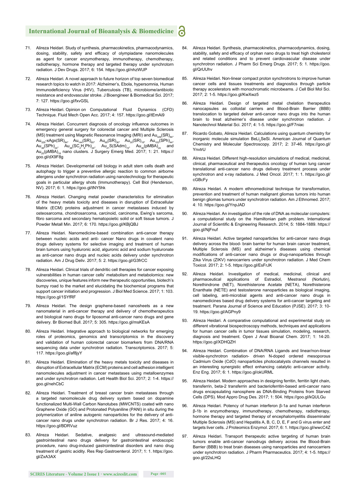- 71. Alireza Heidari. Study of synthesis, pharmacokinetics, pharmacodynamics, dosing, stability, safety and efficacy of olympiadane nanomolecules as agent for cancer enzymotherapy, immunotherapy, chemotherapy, radiotherapy, hormone therapy and targeted therapy under synchrotorn radiation. J Dev Drugs. 2017; 6: 154. https://goo.gl/nhzWUP
- Alireza Heidari. A novel approach to future horizon of top seven biomedical research topics to watch in 2017: Alzheimer's, Ebola, hypersomnia, Human Immunodeficiency Virus (HIV), Tuberculosis (TB), microbiome/antibiotic resistance and endovascular stroke. J Bioengineer & Biomedical Sci. 2017; 7: 127. https://goo.gl/fxvGSL
- 73. Alireza Heidari. Opinion on Computational Fluid Dynamics (CFD) Technique. Fluid Mech Open Acc. 2017; 4: 157. https://goo.gl/tEmAi9
- 74. Alireza Heidari. Concurrent diagnosis of oncology influence outcomes in emergency general surgery for colorectal cancer and Multiple Sclerosis (MS) treatment using Magnetic Resonance Imaging (MRI) and  $Au_{329}(SR)_{84}$ ,  $Au_{329}$ -xAgx(SR)<sub>84</sub>,  $Au_{144}$ (SR)<sub>60</sub>,  $Au_{68}$ (SR)<sub>36</sub>,  $Au_{30}$ (SR)<sub>18</sub>,  $Au_{102}$ (SPh)<sub>44</sub>,  $\mathsf{Au}_{38}(\mathsf{SPh})_{24}$ ,  $\mathsf{Au}_{38}(\mathsf{SC}_2\mathsf{H}_4\mathsf{Ph})_{24}$ ,  $\mathsf{Au}_{24}\mathsf{S}(\mathsf{SAdm})_{15}$ ,  $\mathsf{Au}_{36}(\mathsf{pMBA})_{24}$  and  $Au_{25}(pMBA)_{18}$  nano clusters. J Surgery Emerg Med. 2017; 1: 21. https:// goo.gl/dX9F8g
- 75. Alireza Heidari. Developmental cell biology in adult stem cells death and autophagy to trigger a preventive allergic reaction to common airborne allergens under synchrotron radiation using nanotechnology for therapeutic goals in particular allergy shots (Immunotherapy). Cell Biol (Henderson, NV). 2017; 6: 1. https://goo.gl/tNY5hk
- 76. Alireza Heidari. Changing metal powder characteristics for elimination of the heavy metals toxicity and diseases in disruption of Extracellular Matrix (ECM) proteins adjustment in cancer metastases induced by osteosarcoma, chondrosarcoma, carcinoid, carcinoma, Ewing's sarcoma, fibro sarcoma and secondary hematopoietic solid or soft tissue tumors. J Powder Metall Min. 2017; 6: 170. https://goo.gl/KBjQBJ
- Alireza Heidari. Nanomedicine-based combination anti-cancer therapy between nucleic acids and anti- cancer Nano drugs in covalent nano drugs delivery systems for selective imaging and treatment of human brain tumors using hyaluronic acid, alguronic acid and sodium hyaluronate as anti-cancer nano drugs and nucleic acids delivery under synchrotron radiation. Am J Drug Deliv. 2017; 5: 2. https://goo.gl/G3frCC
- 78. Alireza Heidari. Clinical trials of dendritic cell therapies for cancer exposing vulnerabilities in human cancer cells' metabolism and metabolomics: new discoveries, unique features inform new therapeutic opportunities, biotech's bumpy road to the market and elucidating the biochemical programs that support cancer initiation and progression. J Biol Med Science. 2017; 1: 103. https://goo.gl/1SYfRF
- 79. Alireza Heidari. The design graphene-based nanosheets as a new nanomaterial in anti-cancer therapy and delivery of chemotherapeutics and biological nano drugs for liposomal anti-cancer nano drugs and gene delivery. Br Biomed Bull. 2017; 5: 305. https://goo.gl/msKEsA
- 80. Alireza Heidari. Integrative approach to biological networks for emerging roles of proteomics, genomics and transcriptomics in the discovery and validation of human colorectal cancer biomarkers from DNA/RNA sequencing data under synchrotron radiation. Transcriptomics. 2017; 5: 117. https://goo.gl/af8jyY
- 81. Alireza Heidari. Elimination of the heavy metals toxicity and diseases in disruption of Extracellular Matrix (ECM) proteins and cell adhesion intelligent nanomolecules adjustment in cancer metastases using metalloenzymes and under synchrotron radiation. Lett Health Biol Sci. 2017; 2: 1-4. https:// goo.gl/nehCbC
- 82. Alireza Heidari. Treatment of breast cancer brain metastases through a targeted nanomolecule drug delivery system based on dopamine functionalized Multi-Wall Carbon Nanotubes (MWCNTS) coated with nano Graphene Oxide (GO) and Protonated Polyaniline (PANI) in situ during the polymerization of aniline autogenic nanoparticles for the delivery of anticancer nano drugs under synchrotron radiation. Br J Res. 2017; 4: 16. https://goo.gl/BDRVuz
- 83. Alireza Heidari. Sedative, analgesic and ultrasound-mediated gastrointestinal nano drugs delivery for gastrointestinal endoscopic procedure, nano drug-induced gastrointestinal disorders and nano drug treatment of gastric acidity. Res Rep Gastroenterol. 2017; 1: 1. https://goo. gl/ZxA3AX
- 84. Alireza Heidari. Synthesis, pharmacokinetics, pharmacodynamics, dosing, stability, safety and efficacy of orphan nano drugs to treat high cholesterol and related conditions and to prevent cardiovascular disease under synchrotron radiation. J Pharm Sci Emerg Drugs. 2017; 5: 1. https://goo. gl/QrUUhv
- 85. Alireza Heidari. Non-linear compact proton synchrotrons to improve human cancer cells and tissues treatments and diagnostics through particle therapy accelerators with monochromatic microbeams. J Cell Biol Mol Sci. 2017; 2: 1-5. https://goo.gl/KwXwz5
- 86. Alireza Heidari. Design of targeted metal chelation therapeutics nanocapsules as colloidal carriers and Blood-Brain Barrier (BBB) translocation to targeted deliver anti-cancer nano drugs into the human brain to treat alzheimer's disease under synchrotron radiation. J Nanotechnol Material Sci. 2017; 4: 1-5. https://goo.gl/F7niac
- Ricardo Gobato, Alireza Heidari. Calculations using quantum chemistry for inorganic molecule simulation BeLi<sub>2</sub>SeSi. American Journal of Quantum Chemistry and Molecular Spectroscopy. 2017; 2: 37-46. https://goo.gl/ YnvtrU
- 88. Alireza Heidari. Different high-resolution simulations of medical, medicinal, clinical, pharmaceutical and therapeutics oncology of human lung cancer translational anti-cancer nano drugs delivery treatment process under synchrotron and x-ray radiations. J Med Oncol. 2017; 1: 1. https://goo.gl/ cGBcFy
- 89. Alireza Heidari. A modern ethnomedicinal technique for transformation, prevention and treatment of human malignant gliomas tumors into human benign gliomas tumors under synchrotron radiation. Am J Ethnomed. 2017; 4: 10. https://goo.gl/YnpJAD
- 90. Alireza Heidari. An investigation of the role of DNA as molecular computers: a computational study on the Hamiltonian path problem. International Journal of Scientific & Engineering Research. 2014; 5: 1884-1889. https:// goo.gl/NjFnuf
- 91. Alireza Heidari. Active targeted nanoparticles for anti-cancer nano drugs delivery across the blood- brain barrier for human brain cancer treatment, Multiple Sclerosis (MS) and alzheimer's diseases using chemical modifications of anti-cancer nano drugs or drug-nanoparticles through Zika Virus (ZIKV) nanocarriers under synchrotron radiation. J Med Chem Toxicol. 2017; 2: 1-5. https://goo.gl/EsFrJK
- 92. Alireza Heidari. Investigation of medical, medicinal, clinical and pharmaceutical applications of Estradiol, Mestranol (Norlutin), Norethindrone (NET), Norethisterone Acetate (NETA), Norethisterone Enanthate (NETE) and testosterone nanoparticles as biological imaging, cell labeling, anti-microbial agents and anti-cancer nano drugs in nanomedicines based drug delivery systems for anti-cancer targeting and treatment. Parana Journal of Science and Education (PJSE). 2017; 3: 10- 19. https://goo.gl/AGPny9
- 93. Alireza Heidari. A comparative computational and experimental study on different vibrational biospectroscopy methods, techniques and applications for human cancer cells in tumor tissues simulation, modeling, research, diagnosis and treatment. Open J Anal Bioanal Chem. 2017; 1: 14-20. https://goo.gl/XDHQZH
- 94. Alireza Heidari. Combination of DNA/RNA Ligands and linear/non-linear visible-synchrotron radiation- driven N-doped ordered mesoporous Cadmium Oxide (CdO) nanoparticles photocatalysts channels resulted in an interesting synergistic effect enhancing catalytic anti-cancer activity. Enz Eng. 2017; 6: 1. https://goo.gl/okURML
- 95. Alireza Heidari. Modern approaches in designing ferritin, ferritin light chain, transferrin, beta-2 transferrin and bacterioferritin-based anti-cancer nano drugs encapsulating nanosphere as DNA-Binding Proteins from Starved Cells (DPS). Mod Appro Drug Des. 2017; 1: 504. https://goo.gl/kQULGu
- 96. Alireza Heidari. Potency of human interferon β-1a and human interferon β-1b in enzymotherapy, immunotherapy, chemotherapy, radiotherapy, hormone therapy and targeted therapy of encephalomyelitis disseminate/ Multiple Sclerosis (MS) and Hepatitis A, B, C, D, E, F and G virus enter and targets liver cells. J Proteomics Enzymol. 2017; 6: 1. https://goo.gl/wwcC4Z
- 97. Alireza Heidari. Transport therapeutic active targeting of human brain tumors enable anti-cancer nanodrugs delivery across the Blood-Brain Barrier (BBB) to treat brain diseases using nanoparticles and nanocarriers under synchrotron radiation. J Pharm Pharmaceutics. 2017; 4: 1-5. https:// goo.gl/22sLHQ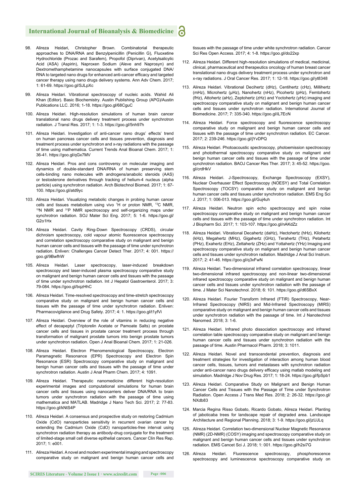- 98. Alireza Heidari, Christopher Brown. Combinatorial therapeutic approaches to DNA/RNA and Benzylpenicillin (Penicillin G), Fluoxetine Hydrochloride (Prozac and Sarafem), Propofol (Diprivan), Acetylsalicylic Acid (ASA) (Aspirin), Naproxen Sodium (Aleve and Naprosyn) and Dextromethamphetamine nanocapsules with surface conjugated DNA/ RNA to targeted nano drugs for enhanced anti-cancer efficacy and targeted cancer therapy using nano drugs delivery systems. Ann Adv Chem. 2017; 1: 61-69. https://goo.gl/SJLpXc
- 99. Alireza Heidari. Vibrational spectroscopy of nucleic acids. Wahid Ali Khan (Editor). Basic Biochemistry. Austin Publishing Group (APG)/Austin Publications LLC. 2016; 1-18. https://goo.gl/68CguC
- 100. Alireza Heidari. High-resolution simulations of human brain cancer translational nano drugs delivery treatment process under synchrotron radiation. J Transl Res. 2017; 1: 1-3. https://goo.gl/5nh97h
- 101. Alireza Heidari. Investigation of anti-cancer nano drugs' effects' trend on human pancreas cancer cells and tissues prevention, diagnosis and treatment process under synchrotron and x-ray radiations with the passage of time using mathematica. Current Trends Anal Bioanal Chem. 2017; 1: 36-41. https://goo.gl/qGx7MV
- 102. Alireza Heidari. Pros and cons controversy on molecular imaging and dynamics of double-standard DNA/RNA of human preserving stem cells-binding nano molecules with androgens/anabolic steroids (AAS) or testosterone derivatives through tracking of helium-4 nucleus (alpha particle) using synchrotron radiation. Arch Biotechnol Biomed. 2017; 1: 67- 100. https://goo.gl/atd9yc
- 103. Alireza Heidari. Visualizing metabolic changes in probing human cancer cells and tissues metabolism using vivo <sup>1</sup>H or proton NMR, <sup>13</sup>C NMR, <sup>15</sup>N NMR and <sup>31</sup>P NMR spectroscopy and self-organizing maps under synchrotron radiation. SOJ Mater Sci Eng. 2017; 5: 1-6. https://goo.gl/ G2o1Hx
- 104. Alireza Heidari. Cavity Ring-Down Spectroscopy (CRDS), circular dichroism spectroscopy, cold vapour atomic fluorescence spectroscopy and correlation spectroscopy comparative study on malignant and benign human cancer cells and tissues with the passage of time under synchrotron radiation. Enliven: Challenges Cancer Detect Ther. 2017; 4: 001. https:// goo.gl/9BwfhW
- 105. Alireza Heidari. Laser spectroscopy, laser-induced breakdown spectroscopy and laser-induced plasma spectroscopy comparative study on malignant and benign human cancer cells and tissues with the passage of time under synchrotron radiation. Int J Hepatol Gastroenterol. 2017; 3: 79-084. https://goo.gl/bqzHhC
- 106. Alireza Heidari. Time-resolved spectroscopy and time-stretch spectroscopy comparative study on malignant and benign human cancer cells and tissues with the passage of time under synchrotron radiation. Enliven: Pharmacovigilance and Drug Safety. 2017; 4: 1. https://goo.gl/t1yfVi
- 107. Alireza Heidari. Overview of the role of vitamins in reducing negative effect of decapeptyl (Triptorelin Acetate or Pamoate Salts) on prostate cancer cells and tissues in prostate cancer treatment process through transformation of malignant prostate tumors into benign prostate tumors under synchrotron radiation. Open J Anal Bioanal Chem. 2017; 1: 21-026.
- 108. Alireza Heidari. Electron Phenomenological Spectroscopy, Electron Paramagnetic Resonance (EPR) Spectroscopy and Electron Spin Resonance (ESR) Spectroscopy comparative study on malignant and benign human cancer cells and tissues with the passage of time under synchrotron radiation. Austin J Anal Pharm Chem. 2017; 4: 1091.
- 109. Alireza Heidari. Therapeutic nanomedicine different high-resolution experimental images and computational simulations for human brain cancer cells and tissues using nanocarriers deliver DNA/RNA to brain tumors under synchrotron radiation with the passage of time using mathematica and MATLAB. Madridge J Nano Tech Sci. 2017; 2: 77-83. https://goo.gl/kNtS4P
- 110. Alireza Heidari. A consensus and prospective study on restoring Cadmium Oxide (CdO) nanoparticles sensitivity in recurrent ovarian cancer by extending the Cadmium Oxide (CdO) nanoparticles-free interval using synchrotron radiation therapy as antibody-drug conjugate for the treatment of limited-stage small cell diverse epithelial cancers. Cancer Clin Res Rep. 2017; 1: e001.
- 111. Alireza Heidari. A novel and modern experimental imaging and spectroscopy comparative study on malignant and benign human cancer cells and

tissues with the passage of time under white synchrotron radiation. Cancer Sci Res Open Access. 2017; 4: 1-8. https://goo.gl/do22xp

- 112. Alireza Heidari. Different high-resolution simulations of medical, medicinal, clinical, pharmaceutical and therapeutics oncology of human breast cancer translational nano drugs delivery treatment process under synchrotron and x-ray radiations. J Oral Cancer Res. 2017; 1: 12-18. https://goo.gl/yt8348
- 113. Alireza Heidari. Vibrational Decihertz (dHz), Centihertz (cHz), Millihertz (mHz), Microhertz (μHz), Nanohertz (nHz), Picohertz (pHz), Femtohertz (fHz), Attohertz (aHz), Zeptohertz (zHz) and Yoctohertz (yHz) imaging and spectroscopy comparative study on malignant and benign human cancer cells and tissues under synchrotron radiation. International Journal of Biomedicine. 2017; 7: 335-340. https://goo.gl/iL7EcN
- 114. Alireza Heidari. Force spectroscopy and fluorescence spectroscopy comparative study on malignant and benign human cancer cells and tissues with the passage of time under synchrotron radiation. EC Cancer. 2017; 2: 239-246. https://goo.gl/jYvDPQ
- 115. Alireza Heidari. Photoacoustic spectroscopy, photoemission spectroscopy and photothermal spectroscopy comparative study on malignant and benign human cancer cells and tissues with the passage of time under synchrotron radiation. BAOJ Cancer Res Ther. 2017; 3: 45-52. https://goo. gl/crdHkV
- 116. Alireza Heidari. J-Spectroscopy, Exchange Spectroscopy (EXSY), Nuclear Overhauser Effect Spectroscopy (NOESY) and Total Correlation Spectroscopy (TOCSY) comparative study on malignant and benign human cancer cells and tissues under synchrotron radiation. EMS Eng Sci J. 2017; 1: 006-013. https://goo.gl/Guj4uh
- 117. Alireza Heidari. Neutron spin echo spectroscopy and spin noise spectroscopy comparative study on malignant and benign human cancer cells and tissues with the passage of time under synchrotron radiation. Int J Biopharm Sci. 2017; 1: 103-107. https://goo.gl/nAKdZz
- 118. Alireza Heidari. Vibrational Decahertz (daHz), Hectohertz (hHz), Kilohertz (kHz), Megahertz (MHz), Gigahertz (GHz), Terahertz (THz), Petahertz (PHz), Exahertz (EHz), Zettahertz (ZHz) and Yottahertz (YHz) Imaging and spectroscopy comparative study on malignant and benign human cancer cells and tissues under synchrotron radiation. Madridge J Anal Sci Instrum. 2017; 2: 41-46. https://goo.gl/q3xFwN
- 119. Alireza Heidari. Two-dimensional infrared correlation spectroscopy, linear two-dimensional infrared spectroscopy and non-linear two-dimensional infrared spectroscopy comparative study on malignant and benign human cancer cells and tissues under synchrotron radiation with the passage of time. J Mater Sci Nanotechnol. 2018; 6: 101. https://goo.gl/d6SBxX
- 120. Alireza Heidari. Fourier Transform Infrared (FTIR) Spectroscopy, Near-Infrared Spectroscopy (NIRS) and Mid-Infrared Spectroscopy (MIRS) comparative study on malignant and benign human cancer cells and tissues under synchrotron radiation with the passage of time. Int J Nanotechnol Nanomed. 2018; 3: 1-6.
- 121. Alireza Heidari. Infrared photo dissociation spectroscopy and infrared correlation table spectroscopy comparative study on malignant and benign human cancer cells and tissues under synchrotron radiation with the passage of time. Austin Pharmacol Pharm. 2018; 3: 1011.
- 122. Alireza Heidari. Novel and transcendental prevention, diagnosis and treatment strategies for investigation of interaction among human blood cancer cells, tissues, tumors and metastases with synchrotron radiation under anti-cancer nano drugs delivery efficacy using matlab modeling and simulation. Madridge J Nov Drug Res. 2017; 1: 18-24. https://goo.gl/fpSpb1
- 123. Alireza Heidari. Comparative Study on Malignant and Benign Human Cancer Cells and Tissues with the Passage of Time under Synchrotron Radiation. Open Access J Trans Med Res. 2018; 2: 26-32. https://goo.gl/ NXdb83
- 124. Marcia Regina Risso Gobato, Ricardo Gobato, Alireza Heidari. Planting of jaboticaba trees for landscape repair of degraded area. Landscape Architecture and Regional Planning. 2018; 3: 1-9. https://goo.gl/jzUJLq
- 125. Alireza Heidari. Correlation two-dimensional Nuclear Magnetic Resonance (NMR) (2D-NMR) (COSY) imaging and spectroscopy comparative study on malignant and benign human cancer cells and tissues under synchrotron radiation. EMS Cancet Sci J. 2018; 1: 001. https://goo.gl/h2si7G
- 126. Alireza Heidari. Fluorescence spectroscopy, phosphorescence spectroscopy and luminescence spectroscopy comparative study on